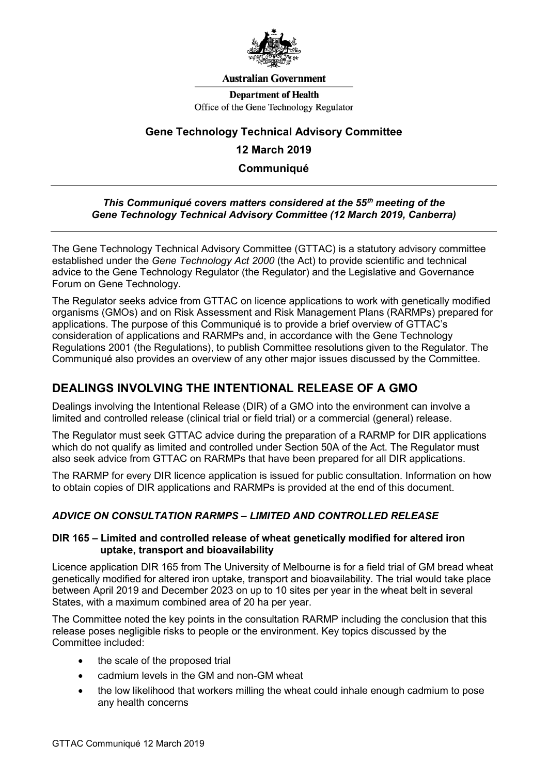

#### **Australian Government**

**Department of Health** Office of the Gene Technology Regulator

### **Gene Technology Technical Advisory Committee**

### **12 March 2019**

**Communiqué**

#### *This Communiqué covers matters considered at the 55***th** *meeting of the Gene Technology Technical Advisory Committee (12 March 2019, Canberra)*

The Gene Technology Technical Advisory Committee (GTTAC) is a statutory advisory committee established under the *Gene Technology Act 2000* (the Act) to provide scientific and technical advice to the Gene Technology Regulator (the Regulator) and the Legislative and Governance Forum on Gene Technology.

The Regulator seeks advice from GTTAC on licence applications to work with genetically modified organisms (GMOs) and on Risk Assessment and Risk Management Plans (RARMPs) prepared for applications. The purpose of this Communiqué is to provide a brief overview of GTTAC's consideration of applications and RARMPs and, in accordance with the Gene Technology Regulations 2001 (the Regulations), to publish Committee resolutions given to the Regulator. The Communiqué also provides an overview of any other major issues discussed by the Committee.

## **DEALINGS INVOLVING THE INTENTIONAL RELEASE OF A GMO**

Dealings involving the Intentional Release (DIR) of a GMO into the environment can involve a limited and controlled release (clinical trial or field trial) or a commercial (general) release.

The Regulator must seek GTTAC advice during the preparation of a RARMP for DIR applications which do not qualify as limited and controlled under Section 50A of the Act. The Regulator must also seek advice from GTTAC on RARMPs that have been prepared for all DIR applications.

The RARMP for every DIR licence application is issued for public consultation. Information on how to obtain copies of DIR applications and RARMPs is provided at the end of this document.

### *ADVICE ON CONSULTATION RARMPS – LIMITED AND CONTROLLED RELEASE*

#### **DIR 165 – Limited and controlled release of wheat genetically modified for altered iron uptake, transport and bioavailability**

Licence application DIR 165 from The University of Melbourne is for a field trial of GM bread wheat genetically modified for altered iron uptake, transport and bioavailability. The trial would take place between April 2019 and December 2023 on up to 10 sites per year in the wheat belt in several States, with a maximum combined area of 20 ha per year.

The Committee noted the key points in the consultation RARMP including the conclusion that this release poses negligible risks to people or the environment. Key topics discussed by the Committee included:

- the scale of the proposed trial
- cadmium levels in the GM and non-GM wheat
- the low likelihood that workers milling the wheat could inhale enough cadmium to pose any health concerns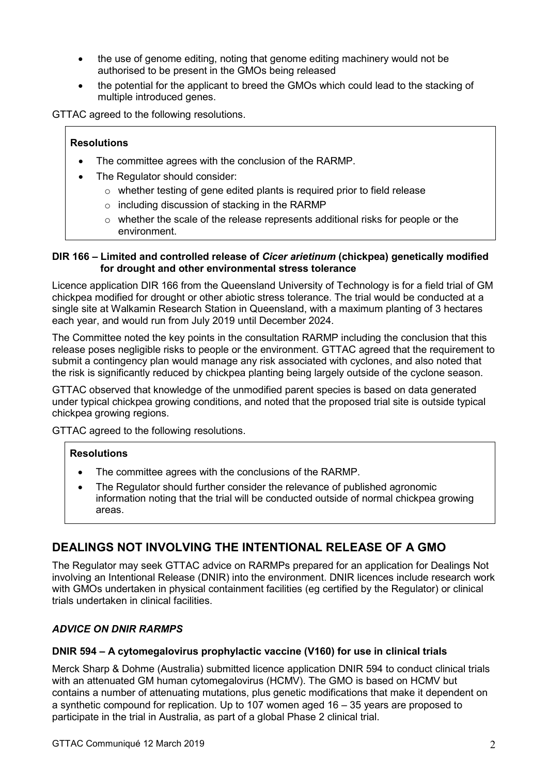- the use of genome editing, noting that genome editing machinery would not be authorised to be present in the GMOs being released
- the potential for the applicant to breed the GMOs which could lead to the stacking of multiple introduced genes.

GTTAC agreed to the following resolutions.

### **Resolutions**

- The committee agrees with the conclusion of the RARMP.
- The Regulator should consider:
	- o whether testing of gene edited plants is required prior to field release
	- o including discussion of stacking in the RARMP
	- $\circ$  whether the scale of the release represents additional risks for people or the environment.

#### **DIR 166 – Limited and controlled release of** *Cicer arietinum* **(chickpea) genetically modified for drought and other environmental stress tolerance**

Licence application DIR 166 from the Queensland University of Technology is for a field trial of GM chickpea modified for drought or other abiotic stress tolerance. The trial would be conducted at a single site at Walkamin Research Station in Queensland, with a maximum planting of 3 hectares each year, and would run from July 2019 until December 2024.

The Committee noted the key points in the consultation RARMP including the conclusion that this release poses negligible risks to people or the environment. GTTAC agreed that the requirement to submit a contingency plan would manage any risk associated with cyclones, and also noted that the risk is significantly reduced by chickpea planting being largely outside of the cyclone season.

GTTAC observed that knowledge of the unmodified parent species is based on data generated under typical chickpea growing conditions, and noted that the proposed trial site is outside typical chickpea growing regions.

GTTAC agreed to the following resolutions.

#### **Resolutions**

- The committee agrees with the conclusions of the RARMP.
- The Regulator should further consider the relevance of published agronomic information noting that the trial will be conducted outside of normal chickpea growing areas.

# **DEALINGS NOT INVOLVING THE INTENTIONAL RELEASE OF A GMO**

The Regulator may seek GTTAC advice on RARMPs prepared for an application for Dealings Not involving an Intentional Release (DNIR) into the environment. DNIR licences include research work with GMOs undertaken in physical containment facilities (eg certified by the Regulator) or clinical trials undertaken in clinical facilities.

#### *ADVICE ON DNIR RARMPS*

#### **DNIR 594 – A cytomegalovirus prophylactic vaccine (V160) for use in clinical trials**

Merck Sharp & Dohme (Australia) submitted licence application DNIR 594 to conduct clinical trials with an attenuated GM human cytomegalovirus (HCMV). The GMO is based on HCMV but contains a number of attenuating mutations, plus genetic modifications that make it dependent on a synthetic compound for replication. Up to 107 women aged 16 – 35 years are proposed to participate in the trial in Australia, as part of a global Phase 2 clinical trial.